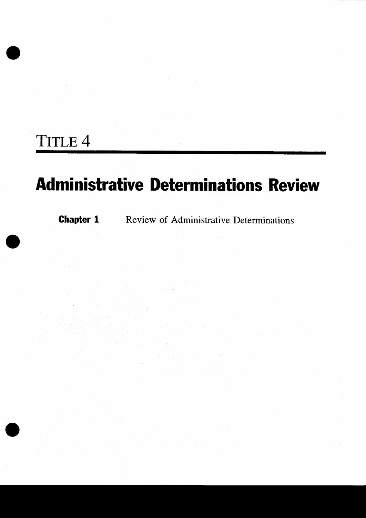### TITLE 4

 $\bullet$ 

 $\blacksquare$  $\bullet$ 

### Administrative Determinations Review

**Chapter 1** Review of Administrative Determinations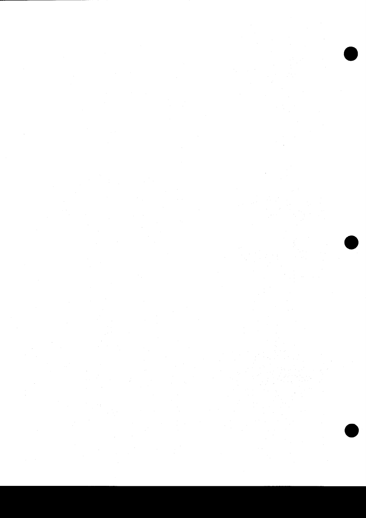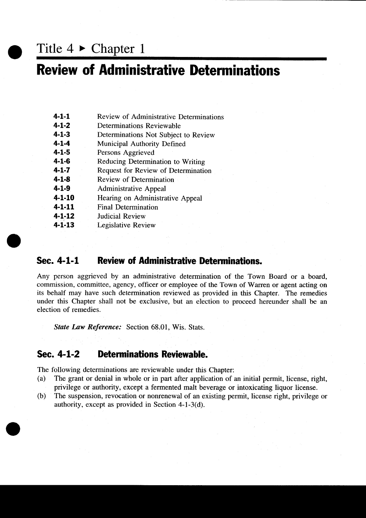Title  $4 \triangleright$  Chapter 1

### **Review of Administrative Determinations**

| $4 - 1 - 1$  | Review of Administrative Determinations |
|--------------|-----------------------------------------|
| $4 - 1 - 2$  | Determinations Reviewable               |
| $4 - 1 - 3$  | Determinations Not Subject to Review    |
| 4-1-4        | <b>Municipal Authority Defined</b>      |
| $4 - 1 - 5$  | Persons Aggrieved                       |
| $4 - 1 - 6$  | Reducing Determination to Writing       |
| 4-1-7        | Request for Review of Determination     |
| $4 - 1 - 8$  | Review of Determination                 |
| $4 - 1 - 9$  | <b>Administrative Appeal</b>            |
| 4-1-10       | Hearing on Administrative Appeal        |
| 4-1-11       | Final Determination                     |
| $4 - 1 - 12$ | Judicial Review                         |
| 4-1-13       | Legislative Review                      |
|              |                                         |

#### Sec. 4-1-1 Review of Administrative Determinations.

Any person aggrieved by an administrative determination of the Town Board or a board, commission, committee, agency, officer or employee of the Town of Warren or agent acting on its behalf may have such determination reviewed as provided in this Chapter. The remedies under this Chapter shall not be exclusive, but an election to proceed hereunder shall be an election of remedies

State Law Reference: Section 68.01, Wis. Stats

## State Law Reference: Section 68.01, Wis. Stats.<br>Sec. 4-1-2 Determinations Reviewable.

The following determinations are reviewable under this Chapter

- (a) The grant or denial in whole or in part after application of an initial permit, license, right, privilege or authority, except a fermented malt beverage or intoxicating liquor license.<br>
(b) The suspension, revocation privilege or authority, except a fermented malt beverage or intoxicating liquor license.
- (b) The suspension, revocation or nonrenewal of an existing permit, license right, privilege or authority, except as provided in Section  $4-1-3(d)$ .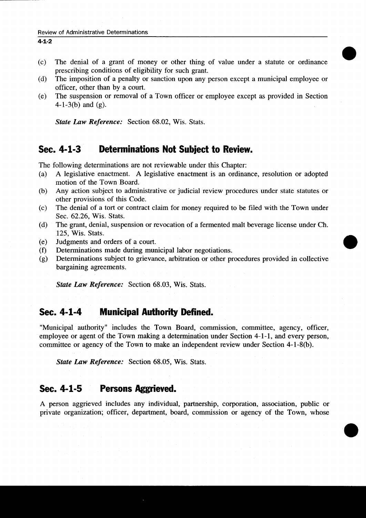- c) The denial of a grant of money or other thing of value under a statute or ordinance prescribing conditions of eligibility for such grant
- (d) The imposition of a penalty or sanction upon any person except a municipal employee or officer, other than by a court.
- (e) The suspension or removal of a Town officer or employee except as provided in Section The import<br>officer, c<br>The susp<br>4-1-3(b) 4-1-3(b) and  $(g)$ .

State Law Reference: Section 68.02, Wis. Stats.

#### Sec. 4-1-3 Determinations Not Subject to Review.

The following determinations are not reviewable under this Chapter

- (a) A legislative enactment. A legislative enactment is an ordinance, resolution or adopted motion of the Town Board
- b Any action subject to administrative or judicial review procedures under state statutes or other provisions of this Code
- $(c)$ The denial of a tort or contract claim for money required to be filed with the Town under Sec. 62.26, Wis. Stats.
- (d) The grant, denial, suspension or revocation of a fermented malt beverage license under Ch. 125, Wis. Stats.
- (e) Judgments and orders of a court.<br>(f) Determinations made during mun
- Determinations made during municipal labor negotiations.
- $(g)$  Determinations subject to grievance, arbitration or other procedures provided in collective bargaining agreements

State Law Reference: Section 68.03, Wis. Stats.

#### Sec. 4-1-4 Municipal Authority Defined.

"Municipal authority" includes the Town Board, commission, committee, agency, officer, "Municipal authority" includes the Town Board, commission, committee, agency, officer, employee or agent of the Town making a determination under Section 4-1-1, and every person, committee or agency of the Town to make an **Sec. 4-1-4 Municipal Authority Defined.**<br>"Municipal authority" includes the Town Board, commission, committee, agency, off employee or agent of the Town making a determination under Section 4-1-1, and every percommitte

State Law Reference: Section 68.05, Wis. Stats.

# committee or agency of the Town to make an<br>State Law Reference: Section 68.05, W<br>Sec. 4-1-5 Persons Aggrieved.<br>A person aggrieved includes any individual

A person aggrieved includes any individual, partnership, corporation, association, public or private organization; officer, department, board, commission or agency of the Town, whose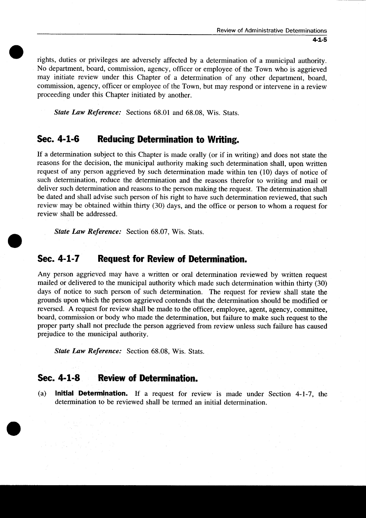rights, duties or privileges are adversely affected by a determination of a municipal authority No department, board, commission, agency, officer or employee of the Town who is aggrieved may initiate review under this Chapter of a determination of any other department, board, commission, agency, officer or employee of the Town, but may respond or intervene in a review proceeding under this Chapter initiated by another

State Law Reference: Sections 68.01 and 68.08, Wis. Stats.

#### Sec. 4-1-6 Reducing Determination to Writing.

If a determination subject to this Chapter is made orally (or if in writing) and does not state the reasons for the decision, the municipal authority making such determination shall, upon written request of any person aggrieved by such determination made within ten (10) days of notice of such determination, reduce the determination and the reasons therefor to writing and mail or deliver such determination and reasons to the person making the request. The determination shall be dated and shall advise such person of his right to have such determination reviewed, that such review may be obtained within thirty (30) days, and the office or person to whom a request for review shall be addressed

State Law Reference: Section 68.07, Wis. Stats.

#### Sec. 4-1-7 Request for Review of Determination.

Any person aggrieved may have a written or oral determination reviewed by written request mailed or delivered to the municipal authority which made such determination within thirty (30) days of notice to such person of such determination. The request for review shall state the grounds upon which the person aggrieved contends that the determination should be modified or reversed. A request for review shall be made to the officer, employee, agent, agency, committee, board, commission or body who made the determination, but failure to make such request to the proper party shall not preclude the person aggrieved from review unless such failure has caused prejudice to the municipal authority.

State Law Reference: Section 68.08, Wis. Stats.

#### Sec. 4-1-8 Review of Determination.

(a) Initial Determination. If a **Ermination.**<br>request for review is made under Section 4-1-7, the<br>all be termed an initial determination. determination to be reviewed shali be termed an initial determination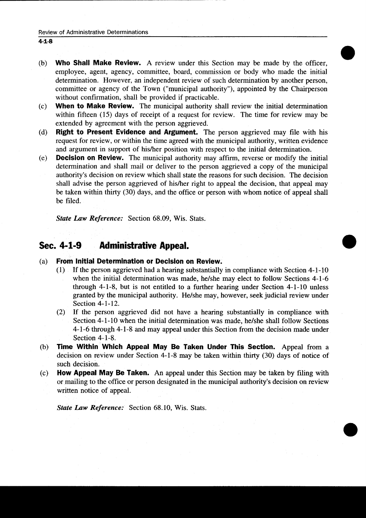- (b) Who Shall Make Review. A review under this Section may be made by the officer, employee, agent, agency, committee, board, commission or body who made the initial determination. However, an independent review of such determination by another person, committee or agency of the Town ("municipal authority"), appointed by the Chairperson without confirmation, shall be provided if practicable.
- $(c)$  When to Make Review. The municipal authority shall review the initial determination within fifteen (15) days of receipt of a request for review. The time for review may be extended by agreement with the person aggrieved
- (d) Right to Present Evidence and Argument. The person aggrieved may file with his and argument in support of his/her position with respect to the initial determination.
- request for review, or within the time agreed with the municipal authority, written evidence<br>and argument in support of his/her position with respect to the initial determination.<br>**Decision on Review.** The municipal author  $(e)$  **Decision on Review.** The municipal authority may affirm, reverse or modify the initial determination and shaIl mail or deliver to the person aggrieved a copy of the municipal authority's decision on review which shall state the reasons for such decision. The decision shall advise the person aggrieved of his/her right to appeal the decision, that appeal may be taken within thirty (30) days, and the office or person with whom notice of appeal shall be filed

State Law Reference: Section 68.09, Wis. Stats.

#### Sec. 4-1-9 Administrative Appeal.

- (a) From Initial Determination or Decision on Review.<br>(1) If the person aggrieved had a hearing substantially
- 11 If the person aggrieved had a **Appeal.**<br> **ecision on Review.**<br>
hearing substantially in compliance with Section 4-1-10<br>
n was made, he/she may elect to follow Sections 4-1-6 Initial Determination or Decision on Review.<br>If the person aggrieved had a hearing substantially in compliance with Section 4-1-10<br>when the initial determination was made, he/she may elect to follow Sections 4-1-6<br>through when the initial determination was made, he/she may elect to follow Sections  $4-1-6$  through  $4-1-8$ , but is not entitled to a further hearing under Section  $4-1-10$  unless granted by the municipal authority. He/she may, however, seek judicial review under Section 4-1-12. Example 1120 and the US of the Meridian Section 4-1-8 and 4-1-8 and 4-1-6 through 4-1-8 and 4-1-6 through 4-1-8 and 4-1-8 and 5-2 and 4-1-8 and 4-1-8 and 5-2 and 4-1-8 and 5-2 and 4-1-8 and 5-2 and 4-1-8 and 5-2 and 4-1-8
- $(2)$ If the person aggrieved did not have <sup>a</sup> hearing substantially in compliance with granted by the municipal authority. He/she may, however, seek judicial review under<br>Section 4-1-12.<br>If the person aggrieved did not have a hearing substantially in compliance with<br>Section 4-1-10 when the initial determinat If the person aggrieved did not have a hearing substantially in compliance with<br>Section 4-1-10 when the initial determination was made, he/she shall follow Sections<br>4-1-6 through 4-1-8 and may appeal under this Section fr Section 4-1-10<br>4-1-6 through<br>Section 4-1-8.<br>Within Which Section 4-1-8.<br>(b) Time Within Which Appeal May Be Taken Under This Section. Appeal from a
- decision on review under Section 4-1-8 may be taken within thirty  $(30)$  days of notice of such decision.
- such decision.<br>(c) **How Appeal May Be Taken.** An appeal under this Section may be taken by filing with Section 4-1-8.<br> **Time Within Which Appeal May Be Taken Under This Section**<br>
decision on review under Section 4-1-8 may be taken within thirty (30)<br>
such decision.<br> **How Appeal May Be Taken.** An appeal under this Section m or mailing to the office or person designated in the municipal authority's decision on review written notice of appeaL

State Law Reference: Section 68.10, Wis. Stats.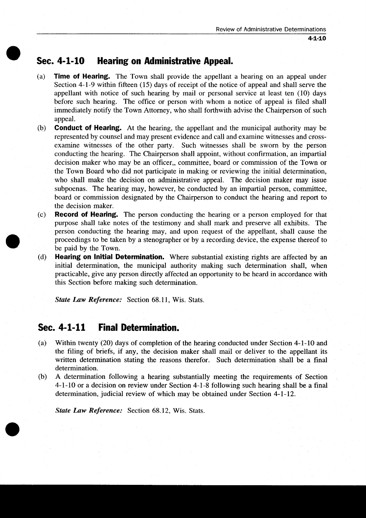### Sec.  $4-1-10$  Hearing on Administrative Appeal.<br>(a) Time of Hearing. The Town shall provide the appellant

- (a) **Time of Hearing.** The Town shall provide the appellant a hearing on an appeal under **4-1-10 Hearing on Administrative Appeal.**<br> **Time of Hearing.** The Town shall provide the appellant a hearing on an appeal under Section 4-1-9 within fifteen  $(15)$  days of receipt of the notice of appeal and shall serve appellant with notice of such hearing by mail or personal service at least ten  $(10)$  days before such hearing. The office or person with whom a notice of appeal is filed shall immediateiy notify the Town Attorney who shall forthwith advise the Chairperson of such appeaL
- $(b)$  **Conduct of Hearing.** At the hearing, the appellant and the municipal authority may be represented by caunsel and may present evidence and call and examine wimesses and cross examine witnesses of the other party. Such witnesses shall be sworn by the person conducting the hearing. The Chairperson shall appoint, without confirmation, an impartial decision maker who may be an officer, committee, board or commission of the Town or the Town Board who did not participate in making or reviewing the initial determination who shall make the decision on administrative appeal. The decision maker may issue subpoenas. The hearing may, however, be conducted by an impartial person, committee, board or commission designated by the Chairperson to conduct the hearing and report to the decision maker
- $(c)$  **Record of Hearing.** The person conducting the hearing or a person employed for that purpose shall take notes of the testimony and shali mark and preserve all exhibits The person conducting the hearing may, and upon request of the appellant, shall cause the proceedings to be taken by a stenographer or by a recording device, the expense thereof to be paid by the Town
- (d) **Hearing on Initial Determination.** Where substantial existing rights are affected by an initial determination, the municipal authority making such determination shall, when practicable, give any person directly affected an opportunity to be heard in accordance with this Section before making such determination.

# State Law Reference: Section 68.11, Wis. Stats<br>
Sec. 4-1-11 Final Determination.

- **Sec. 4-1-11 Final Determination.**<br>(a) Within twenty (20) days of completion of the hearing conducted under Section 4-1-10 and the filing of briefs, if any, the decision maker shall mail or deliver to the appellant its determination.
- Intermination stating the reasons therefor. Such determination shall be a final determination.<br>A determination following a hearing substantially meeting the requirements of Section 4-1-10 or a decision on review under Sect  $(b)$ A deternunation following a hearing substantially meeting the requirements of Section written determination stating the reasons therefor. Such determination shall b<br>determination.<br>A determination following a hearing substantially meeting the requirements of<br>4-1-10 or a decision on review under Section 4-1-8

State Law Reference: Section 68.12, Wis. Stats.